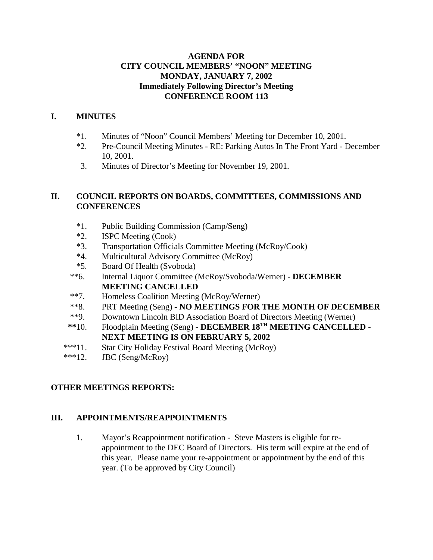#### **AGENDA FOR CITY COUNCIL MEMBERS' "NOON" MEETING MONDAY, JANUARY 7, 2002 Immediately Following Director's Meeting CONFERENCE ROOM 113**

### **I. MINUTES**

- \*1. Minutes of "Noon" Council Members' Meeting for December 10, 2001.
- \*2. Pre-Council Meeting Minutes RE: Parking Autos In The Front Yard December 10, 2001.
- 3. Minutes of Director's Meeting for November 19, 2001.

#### **II. COUNCIL REPORTS ON BOARDS, COMMITTEES, COMMISSIONS AND CONFERENCES**

- \*1. Public Building Commission (Camp/Seng)
- \*2. ISPC Meeting (Cook)
- \*3. Transportation Officials Committee Meeting (McRoy/Cook)
- \*4. Multicultural Advisory Committee (McRoy)
- \*5. Board Of Health (Svoboda)
- \*\*6. Internal Liquor Committee (McRoy/Svoboda/Werner) **DECEMBER MEETING CANCELLED**
- \*\*7. Homeless Coalition Meeting (McRoy/Werner)
- \*\*8. PRT Meeting (Seng) **NO MEETINGS FOR THE MONTH OF DECEMBER**
- \*\*9. Downtown Lincoln BID Association Board of Directors Meeting (Werner)
- **\*\***10. Floodplain Meeting (Seng) **DECEMBER 18TH MEETING CANCELLED - NEXT MEETING IS ON FEBRUARY 5, 2002**
- \*\*\*11. Star City Holiday Festival Board Meeting (McRoy)
- \*\*\*12. JBC (Seng/McRoy)

## **OTHER MEETINGS REPORTS:**

#### **III. APPOINTMENTS/REAPPOINTMENTS**

1. Mayor's Reappointment notification - Steve Masters is eligible for reappointment to the DEC Board of Directors. His term will expire at the end of this year. Please name your re-appointment or appointment by the end of this year. (To be approved by City Council)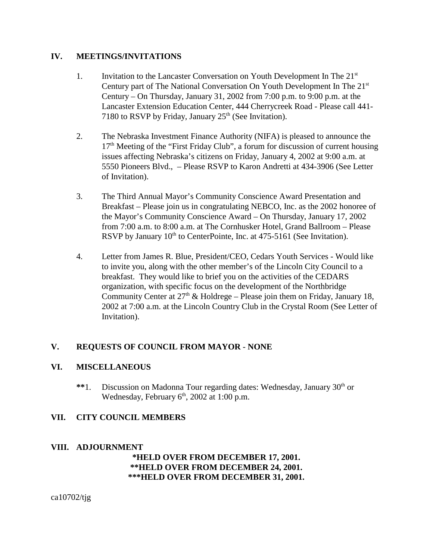#### **IV. MEETINGS/INVITATIONS**

- 1. Invitation to the Lancaster Conversation on Youth Development In The  $21<sup>st</sup>$ Century part of The National Conversation On Youth Development In The 21st Century – On Thursday, January 31, 2002 from 7:00 p.m. to 9:00 p.m. at the Lancaster Extension Education Center, 444 Cherrycreek Road - Please call 441- 7180 to RSVP by Friday, January  $25<sup>th</sup>$  (See Invitation).
- 2. The Nebraska Investment Finance Authority (NIFA) is pleased to announce the  $17<sup>th</sup>$  Meeting of the "First Friday Club", a forum for discussion of current housing issues affecting Nebraska's citizens on Friday, January 4, 2002 at 9:00 a.m. at 5550 Pioneers Blvd., – Please RSVP to Karon Andretti at 434-3906 (See Letter of Invitation).
- 3. The Third Annual Mayor's Community Conscience Award Presentation and Breakfast – Please join us in congratulating NEBCO, Inc. as the 2002 honoree of the Mayor's Community Conscience Award – On Thursday, January 17, 2002 from 7:00 a.m. to 8:00 a.m. at The Cornhusker Hotel, Grand Ballroom – Please RSVP by January  $10<sup>th</sup>$  to CenterPointe, Inc. at 475-5161 (See Invitation).
- 4. Letter from James R. Blue, President/CEO, Cedars Youth Services Would like to invite you, along with the other member's of the Lincoln City Council to a breakfast. They would like to brief you on the activities of the CEDARS organization, with specific focus on the development of the Northbridge Community Center at  $27<sup>th</sup>$  & Holdrege – Please join them on Friday, January 18, 2002 at 7:00 a.m. at the Lincoln Country Club in the Crystal Room (See Letter of Invitation).

## **V. REQUESTS OF COUNCIL FROM MAYOR** - **NONE**

#### **VI. MISCELLANEOUS**

\*\*1. Discussion on Madonna Tour regarding dates: Wednesday, January 30<sup>th</sup> or Wednesday, February  $6<sup>th</sup>$ , 2002 at 1:00 p.m.

#### **VII. CITY COUNCIL MEMBERS**

#### **VIII. ADJOURNMENT**

#### **\*HELD OVER FROM DECEMBER 17, 2001. \*\*HELD OVER FROM DECEMBER 24, 2001. \*\*\*HELD OVER FROM DECEMBER 31, 2001.**

ca10702/tjg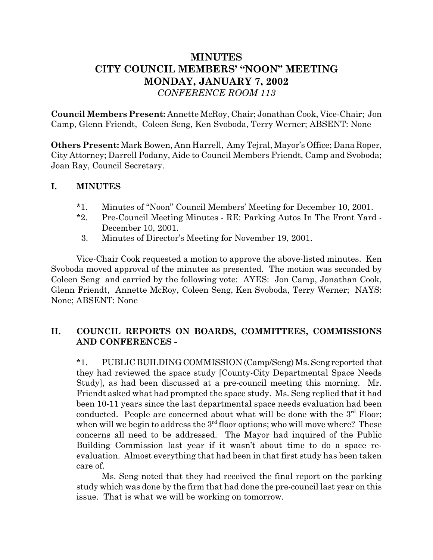# **MINUTES CITY COUNCIL MEMBERS' "NOON" MEETING MONDAY, JANUARY 7, 2002** *CONFERENCE ROOM 113*

**Council Members Present:** Annette McRoy, Chair; Jonathan Cook, Vice-Chair; Jon Camp, Glenn Friendt, Coleen Seng, Ken Svoboda, Terry Werner; ABSENT: None

**Others Present:** Mark Bowen, Ann Harrell, Amy Tejral, Mayor's Office; Dana Roper, City Attorney; Darrell Podany, Aide to Council Members Friendt, Camp and Svoboda; Joan Ray, Council Secretary.

## **I. MINUTES**

- \*1. Minutes of "Noon" Council Members' Meeting for December 10, 2001.
- \*2. Pre-Council Meeting Minutes RE: Parking Autos In The Front Yard December 10, 2001.
- 3. Minutes of Director's Meeting for November 19, 2001.

Vice-Chair Cook requested a motion to approve the above-listed minutes. Ken Svoboda moved approval of the minutes as presented. The motion was seconded by Coleen Seng and carried by the following vote: AYES: Jon Camp, Jonathan Cook, Glenn Friendt, Annette McRoy, Coleen Seng, Ken Svoboda, Terry Werner; NAYS: None; ABSENT: None

## **II. COUNCIL REPORTS ON BOARDS, COMMITTEES, COMMISSIONS AND CONFERENCES -**

\*1. PUBLIC BUILDING COMMISSION (Camp/Seng) Ms. Seng reported that they had reviewed the space study [County-City Departmental Space Needs Study], as had been discussed at a pre-council meeting this morning. Mr. Friendt asked what had prompted the space study. Ms. Seng replied that it had been 10-11 years since the last departmental space needs evaluation had been conducted. People are concerned about what will be done with the  $3<sup>rd</sup>$  Floor; when will we begin to address the  $3<sup>rd</sup>$  floor options; who will move where? These concerns all need to be addressed. The Mayor had inquired of the Public Building Commission last year if it wasn't about time to do a space reevaluation. Almost everything that had been in that first study has been taken care of.

Ms. Seng noted that they had received the final report on the parking study which was done by the firm that had done the pre-council last year on this issue. That is what we will be working on tomorrow.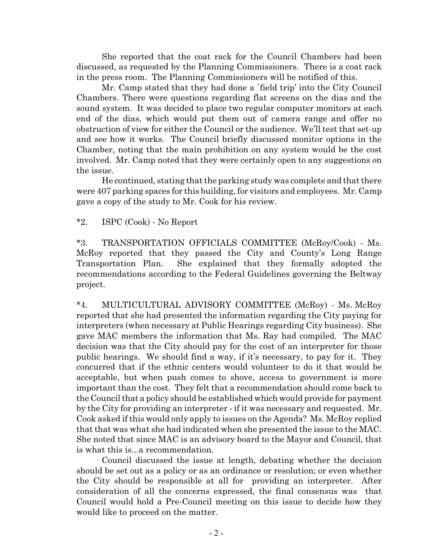She reported that the coat rack for the Council Chambers had been discussed, as requested by the Planning Commissioners. There is a coat rack in the press room. The Planning Commissioners will be notified of this.

Mr. Camp stated that they had done a `field trip' into the City Council Chambers. There were questions regarding flat screens on the dias and the sound system. It was decided to place two regular computer monitors at each end of the dias, which would put them out of camera range and offer no obstruction of view for either the Council or the audience. We'll test that set-up and see how it works. The Council briefly discussed monitor options in the Chamber, noting that the main prohibition on any system would be the cost involved. Mr. Camp noted that they were certainly open to any suggestions on the issue.

He continued, stating that the parking study was complete and that there were 407 parking spaces for this building, for visitors and employees. Mr. Camp gave a copy of the study to Mr. Cook for his review.

\*2. ISPC (Cook) - No Report

\*3. TRANSPORTATION OFFICIALS COMMITTEE (McRoy/Cook) - Ms. McRoy reported that they passed the City and County's Long Range Transportation Plan. She explained that they formally adopted the recommendations according to the Federal Guidelines governing the Beltway project.

\*4. MULTICULTURAL ADVISORY COMMITTEE (McRoy) - Ms. McRoy reported that she had presented the information regarding the City paying for interpreters (when necessary at Public Hearings regarding City business). She gave MAC members the information that Ms. Ray had compiled. The MAC decision was that the City should pay for the cost of an interpreter for those public hearings. We should find a way, if it's necessary, to pay for it. They concurred that if the ethnic centers would volunteer to do it that would be acceptable, but when push comes to shove, access to government is more important than the cost. They felt that a recommendation should come back to the Council that a policy should be established which would provide for payment by the City for providing an interpreter - if it was necessary and requested. Mr. Cook asked if this would only apply to issues on the Agenda? Ms. McRoy replied that that was what she had indicated when she presented the issue to the MAC. She noted that since MAC is an advisory board to the Mayor and Council, that is what this is...a recommendation.

Council discussed the issue at length, debating whether the decision should be set out as a policy or as an ordinance or resolution; or even whether the City should be responsible at all for providing an interpreter. After consideration of all the concerns expressed, the final consensus was that Council would hold a Pre-Council meeting on this issue to decide how they would like to proceed on the matter.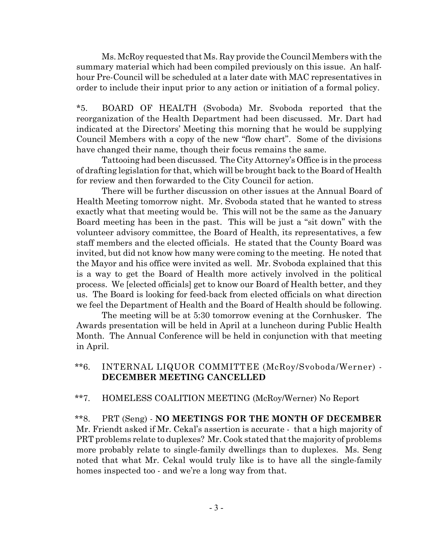Ms. McRoy requested that Ms. Ray provide the Council Members with the summary material which had been compiled previously on this issue. An halfhour Pre-Council will be scheduled at a later date with MAC representatives in order to include their input prior to any action or initiation of a formal policy.

\*5. BOARD OF HEALTH (Svoboda) Mr. Svoboda reported that the reorganization of the Health Department had been discussed. Mr. Dart had indicated at the Directors' Meeting this morning that he would be supplying Council Members with a copy of the new "flow chart". Some of the divisions have changed their name, though their focus remains the same.

Tattooing had been discussed. The City Attorney's Office is in the process of drafting legislation for that, which will be brought back to the Board of Health for review and then forwarded to the City Council for action.

There will be further discussion on other issues at the Annual Board of Health Meeting tomorrow night. Mr. Svoboda stated that he wanted to stress exactly what that meeting would be. This will not be the same as the January Board meeting has been in the past. This will be just a "sit down" with the volunteer advisory committee, the Board of Health, its representatives, a few staff members and the elected officials. He stated that the County Board was invited, but did not know how many were coming to the meeting. He noted that the Mayor and his office were invited as well. Mr. Svoboda explained that this is a way to get the Board of Health more actively involved in the political process. We [elected officials] get to know our Board of Health better, and they us. The Board is looking for feed-back from elected officials on what direction we feel the Department of Health and the Board of Health should be following.

The meeting will be at 5:30 tomorrow evening at the Cornhusker. The Awards presentation will be held in April at a luncheon during Public Health Month. The Annual Conference will be held in conjunction with that meeting in April.

#### \*\*6. INTERNAL LIQUOR COMMITTEE (McRoy/Svoboda/Werner) - **DECEMBER MEETING CANCELLED**

## \*\*7. HOMELESS COALITION MEETING (McRoy/Werner) No Report

 \*\*8. PRT (Seng) - **NO MEETINGS FOR THE MONTH OF DECEMBER** Mr. Friendt asked if Mr. Cekal's assertion is accurate - that a high majority of PRT problems relate to duplexes? Mr. Cook stated that the majority of problems more probably relate to single-family dwellings than to duplexes. Ms. Seng noted that what Mr. Cekal would truly like is to have all the single-family homes inspected too - and we're a long way from that.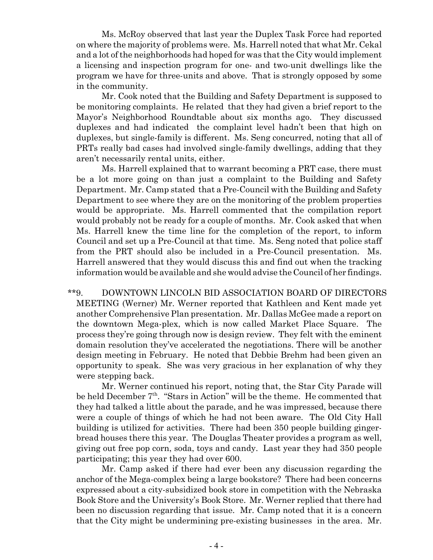Ms. McRoy observed that last year the Duplex Task Force had reported on where the majority of problems were. Ms. Harrell noted that what Mr. Cekal and a lot of the neighborhoods had hoped for was that the City would implement a licensing and inspection program for one- and two-unit dwellings like the program we have for three-units and above. That is strongly opposed by some in the community.

Mr. Cook noted that the Building and Safety Department is supposed to be monitoring complaints. He related that they had given a brief report to the Mayor's Neighborhood Roundtable about six months ago. They discussed duplexes and had indicated the complaint level hadn't been that high on duplexes, but single-family is different. Ms. Seng concurred, noting that all of PRTs really bad cases had involved single-family dwellings, adding that they aren't necessarily rental units, either.

Ms. Harrell explained that to warrant becoming a PRT case, there must be a lot more going on than just a complaint to the Building and Safety Department. Mr. Camp stated that a Pre-Council with the Building and Safety Department to see where they are on the monitoring of the problem properties would be appropriate. Ms. Harrell commented that the compilation report would probably not be ready for a couple of months. Mr. Cook asked that when Ms. Harrell knew the time line for the completion of the report, to inform Council and set up a Pre-Council at that time. Ms. Seng noted that police staff from the PRT should also be included in a Pre-Council presentation. Ms. Harrell answered that they would discuss this and find out when the tracking information would be available and she would advise the Council of her findings.

\*\*9. DOWNTOWN LINCOLN BID ASSOCIATION BOARD OF DIRECTORS MEETING (Werner) Mr. Werner reported that Kathleen and Kent made yet another Comprehensive Plan presentation. Mr. Dallas McGee made a report on the downtown Mega-plex, which is now called Market Place Square. The process they're going through now is design review. They felt with the eminent domain resolution they've accelerated the negotiations. There will be another design meeting in February. He noted that Debbie Brehm had been given an opportunity to speak. She was very gracious in her explanation of why they were stepping back.

Mr. Werner continued his report, noting that, the Star City Parade will be held December 7<sup>th</sup>. "Stars in Action" will be the theme. He commented that they had talked a little about the parade, and he was impressed, because there were a couple of things of which he had not been aware. The Old City Hall building is utilized for activities. There had been 350 people building gingerbread houses there this year. The Douglas Theater provides a program as well, giving out free pop corn, soda, toys and candy. Last year they had 350 people participating; this year they had over 600.

Mr. Camp asked if there had ever been any discussion regarding the anchor of the Mega-complex being a large bookstore? There had been concerns expressed about a city-subsidized book store in competition with the Nebraska Book Store and the University's Book Store. Mr. Werner replied that there had been no discussion regarding that issue. Mr. Camp noted that it is a concern that the City might be undermining pre-existing businesses in the area. Mr.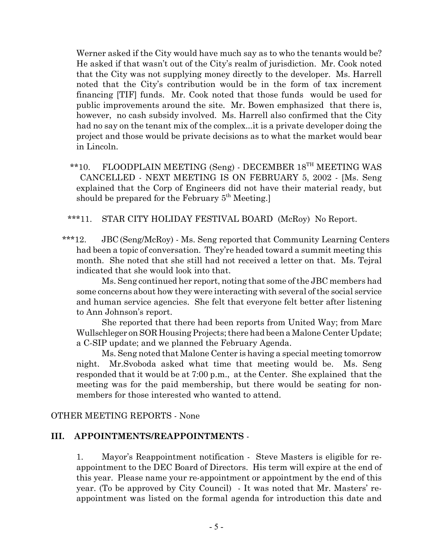Werner asked if the City would have much say as to who the tenants would be? He asked if that wasn't out of the City's realm of jurisdiction. Mr. Cook noted that the City was not supplying money directly to the developer. Ms. Harrell noted that the City's contribution would be in the form of tax increment financing [TIF] funds. Mr. Cook noted that those funds would be used for public improvements around the site. Mr. Bowen emphasized that there is, however, no cash subsidy involved. Ms. Harrell also confirmed that the City had no say on the tenant mix of the complex...it is a private developer doing the project and those would be private decisions as to what the market would bear in Lincoln.

 \*\*10. FLOODPLAIN MEETING (Seng) - DECEMBER 18TH MEETING WAS CANCELLED - NEXT MEETING IS ON FEBRUARY 5, 2002 - [Ms. Seng explained that the Corp of Engineers did not have their material ready, but should be prepared for the February 5<sup>th</sup> Meeting.]

\*\*\*11. STAR CITY HOLIDAY FESTIVAL BOARD (McRoy) No Report.

\*\*\*12. JBC (Seng/McRoy) - Ms. Seng reported that Community Learning Centers had been a topic of conversation. They're headed toward a summit meeting this month. She noted that she still had not received a letter on that. Ms. Tejral indicated that she would look into that.

Ms. Seng continued her report, noting that some of the JBC members had some concerns about how they were interacting with several of the social service and human service agencies. She felt that everyone felt better after listening to Ann Johnson's report.

She reported that there had been reports from United Way; from Marc Wullschleger on SOR Housing Projects; there had been a Malone Center Update; a C-SIP update; and we planned the February Agenda.

Ms. Seng noted that Malone Center is having a special meeting tomorrow night. Mr.Svoboda asked what time that meeting would be. Ms. Seng responded that it would be at 7:00 p.m., at the Center. She explained that the meeting was for the paid membership, but there would be seating for nonmembers for those interested who wanted to attend.

# OTHER MEETING REPORTS - None

## **III. APPOINTMENTS/REAPPOINTMENTS** -

1. Mayor's Reappointment notification - Steve Masters is eligible for reappointment to the DEC Board of Directors. His term will expire at the end of this year. Please name your re-appointment or appointment by the end of this year. (To be approved by City Council) - It was noted that Mr. Masters' reappointment was listed on the formal agenda for introduction this date and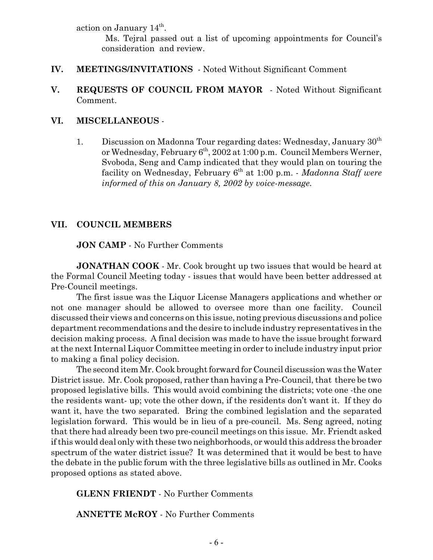action on January  $14^{\text{th}}$ .

 Ms. Tejral passed out a list of upcoming appointments for Council's consideration and review.

- **IV. MEETINGS/INVITATIONS**  Noted Without Significant Comment
- **V. REQUESTS OF COUNCIL FROM MAYOR** Noted Without Significant Comment.

### **VI. MISCELLANEOUS** -

1. Discussion on Madonna Tour regarding dates: Wednesday, January  $30<sup>th</sup>$ or Wednesday, February 6<sup>th</sup>, 2002 at 1:00 p.m. Council Members Werner, Svoboda, Seng and Camp indicated that they would plan on touring the facility on Wednesday, February 6th at 1:00 p.m. - *Madonna Staff were informed of this on January 8, 2002 by voice-message.*

## **VII. COUNCIL MEMBERS**

**JON CAMP** - No Further Comments

**JONATHAN COOK** - Mr. Cook brought up two issues that would be heard at the Formal Council Meeting today - issues that would have been better addressed at Pre-Council meetings.

The first issue was the Liquor License Managers applications and whether or not one manager should be allowed to oversee more than one facility. Council discussed their views and concerns on this issue, noting previous discussions and police department recommendations and the desire to include industry representatives in the decision making process. A final decision was made to have the issue brought forward at the next Internal Liquor Committee meeting in order to include industry input prior to making a final policy decision.

The second item Mr. Cook brought forward for Council discussion was the Water District issue. Mr. Cook proposed, rather than having a Pre-Council, that there be two proposed legislative bills. This would avoid combining the districts; vote one -the one the residents want- up; vote the other down, if the residents don't want it. If they do want it, have the two separated. Bring the combined legislation and the separated legislation forward. This would be in lieu of a pre-council. Ms. Seng agreed, noting that there had already been two pre-council meetings on this issue. Mr. Friendt asked if this would deal only with these two neighborhoods, or would this address the broader spectrum of the water district issue? It was determined that it would be best to have the debate in the public forum with the three legislative bills as outlined in Mr. Cooks proposed options as stated above.

#### **GLENN FRIENDT** - No Further Comments

**ANNETTE McROY** - No Further Comments